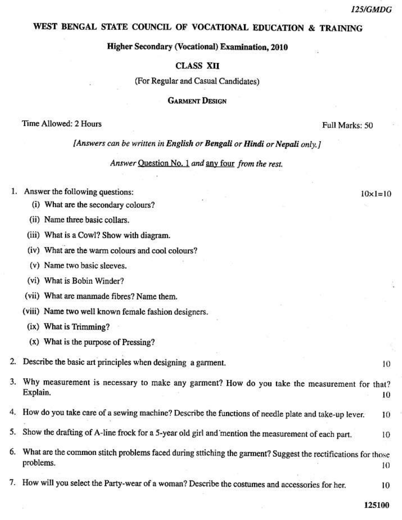$10 \times 1 = 10$ 

### WEST BENGAL STATE COUNCIL OF VOCATIONAL EDUCATION & TRAINING

#### **Higher Secondary (Vocational) Examination, 2010**

### **CLASS XII**

(For Regular and Casual Candidates)

#### **GARMENT DESIGN**

### Time Allowed: 2 Hours

Full Marks: 50

[Answers can be written in English or Bengali or Hindi or Nepali only,]

Answer Question No. 1 and any four from the rest.

# 1. Answer the following questions:

- (i) What are the secondary colours?
- (ii) Name three basic collars.
- (iii) What is a Cowl? Show with diagram.
- (iv) What are the warm colours and cool colours?
- (v) Name two basic sleeves.
- (vi) What is Bobin Winder?
- (vii) What are manmade fibres? Name them.
- (viii) Name two well known female fashion designers.
	- (ix) What is Trimming?
	- (x) What is the purpose of Pressing?
- 2. Describe the basic art principles when designing a garment.
- 3. Why measurement is necessary to make any garment? How do you take the measurement for that? Explain. 10
- 4. How do you take care of a sewing machine? Describe the functions of needle plate and take-up lever. 10
- 5. Show the drafting of A-line frock for a 5-year old girl and mention the measurement of each part. 10
- 6. What are the common stitch problems faced during sttiching the garment? Suggest the rectifications for those problems. 10
- 7. How will you select the Party-wear of a woman? Describe the costumes and accessories for her.

125100

10

10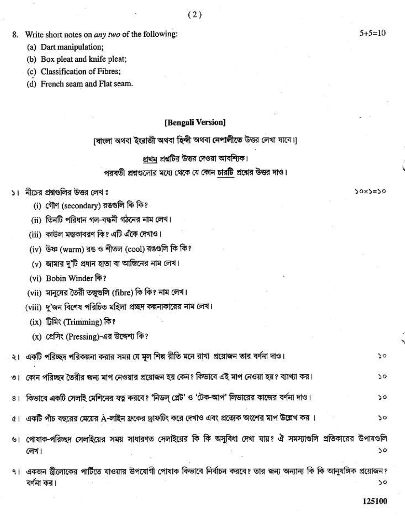- 8. Write short notes on *any two* of the following:
	- (a) Dart manipulation;
	- (b) Box pleat and knife pleat;
	- (c) Classification of Fibres;
	- (d) French seam and Flat seam.

### [Bengali Version]

।বাংলা অথবা ইংরাজী অথবা হিন্দী অথবা নেপালীতে উত্তর লেখা যাবে।।

# প্রথম প্রশ্নটির উত্তর দেওয়া আবশ্যিক।

# পরবর্তী প্রশ্নগুলোর মধ্যে থেকে যে কোন চারটি প্রশ্নের উত্তর দাও।

- ১। নীচের প্রশ্নগুলির উত্তর লেখ ঃ
	- (i) গৌণ (secondary) রঙগুলি কি কি?
	- (ii) তিনটি পরিধান গল-বন্ধনী গঠনের নাম লেখ।
	- (iii) কাউল মন্তকাবরণ কি? এটি এঁকে দেখাও।
	- (iv) উষ্ণ (warm) রঙ ও শীতল (cool) রঙগুলি কি কি?
	- $(v)$  জামার দু'টি প্রধান হাতা বা আন্তিনের নাম লেখ।
	- (vi) Bobin Winder कि?
	- (vii) মানুষের তৈরী তত্ত্বগুলি (fibre) কি কি? নাম লেখ।
	- (viii) দ'জন বিশেষ পরিচিত মহিলা প্রচ্ছদ কল্পনাকারের নাম লেখ।
	- (ix) ট্ৰিমিং (Trimming) কি?
	- (x) প্রেসিং (Pressing)-এর উদ্দেশ্য কি?

|  |  | ২। একটি পরিচ্ছদ পরিকল্পনা করার সময় যে মূল শিল্প রীতি মনে রাখা প্রয়োজন তার বর্ণনা দাও। |  | $50^{\circ}$ |
|--|--|-----------------------------------------------------------------------------------------|--|--------------|
|--|--|-----------------------------------------------------------------------------------------|--|--------------|

- কোন পরিচ্ছদ তৈরীর জন্য মাপ নেওয়ার প্রয়োজন হয় কেন? কিডাবে এই মাপ নেওয়া হয়? ব্যাখ্যা কর।  $50$ ৩।
- কিভাবে একটি সেলাই মেশিনের যত্ন করবে? 'নিডল্ প্লেট' ও 'টেক-আপ' লিভারের কাজের বর্ণনা দাও।  $50$  $81$
- একটি পাঁচ বছরের মেয়ের A-লাইন ফ্রকের ড্রাফটিং করে দেখাও এবং প্রত্যেক অংশের মাপ উ**ল্লেখ** কর ।  $50$  $\alpha$  |

পোষাক-পরিচ্ছদ সেলাইয়ের সময় সাধারণত সেলাইয়ের কি কি অসুবিধা দেখা যায়? ঐ সমস্যাগুলি প্রতিকারের উপায়গুলি 9 লেখ।  $\mathcal{Q}$ 

৭। একজন স্ত্রীলোকের পার্টিতে যাওয়ার উপযোগী পোষাক কিভাবে নির্বাচন করবে? তার জন্য অন্যান্য কি কি আনুষঙ্গিক প্রয়োজন? বর্ণনা কর।  $50$ 

 $50x5=50$